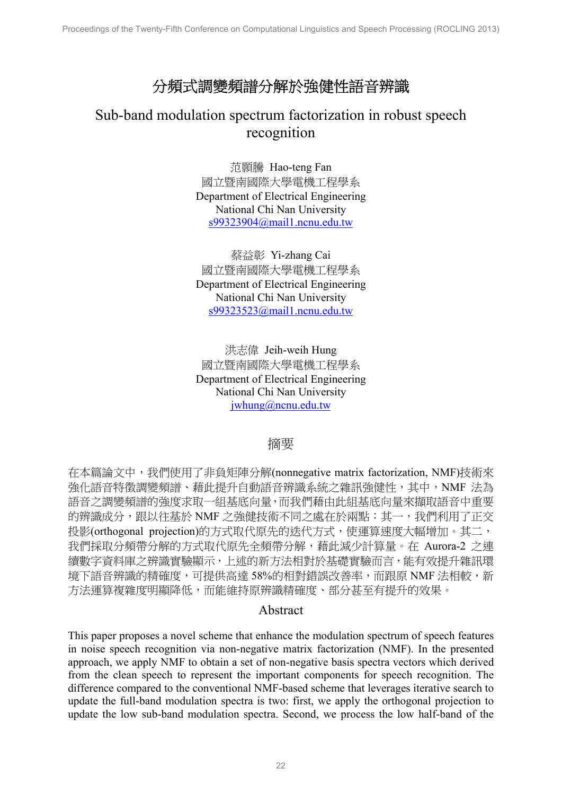# 分頻式調變頻譜分解於強健性語音辨識

# Sub-band modulation spectrum factorization in robust speech recognition

范顥騰 Hao-teng Fan 國立暨南國際大學電機工程學系 Department of Electrical Engineering National Chi Nan University s99323904@mail1.ncnu.edu.tw

蔡益彰 Yi-zhang Cai 國立暨南國際大學電機工程學系 Department of Electrical Engineering National Chi Nan University s99323523@mail1.ncnu.edu.tw

洪志偉 Jeih-weih Hung 國立暨南國際大學電機工程學系 Department of Electrical Engineering National Chi Nan University jwhung@ncnu.edu.tw

# 摘要

在本篇論文中,我們使用了非負矩陣分解(nonnegative matrix factorization, NMF)技術來 強化語音特徵調變頻譜、藉此提升自動語音辨識系統之雜訊強健性,其中,NMF 法為 語音之調變頻譜的強度求取一組基底向量,而我們藉由此組基底向量來擷取語音中重要 的辨識成分, 跟以往基於 NMF 之強健技術不同之處在於兩點: 其一, 我們利用了正交 投影(orthogonal projection)的方式取代原先的迭代方式,使運算速度大幅增加。其二, 我們採取分頻帶分解的方式取代原先全頻帶分解,藉此減少計算量。在 Aurora-2 之連 續數字資料庫之辨識實驗顯示,上述的新方法相對於基礎實驗而言,能有效提升雜訊環 境下語音辨識的精確度,可提供高達 58%的相對錯誤改善率,而跟原 NMF 法相較,新 方法運算複雜度明顯降低,而能維持原辨識精確度、部分甚至有提升的效果。

# Abstract

This paper proposes a novel scheme that enhance the modulation spectrum of speech features in noise speech recognition via non-negative matrix factorization (NMF). In the presented approach, we apply NMF to obtain a set of non-negative basis spectra vectors which derived from the clean speech to represent the important components for speech recognition. The difference compared to the conventional NMF-based scheme that leverages iterative search to update the full-band modulation spectra is two: first, we apply the orthogonal projection to update the low sub-band modulation spectra. Second, we process the low half-band of the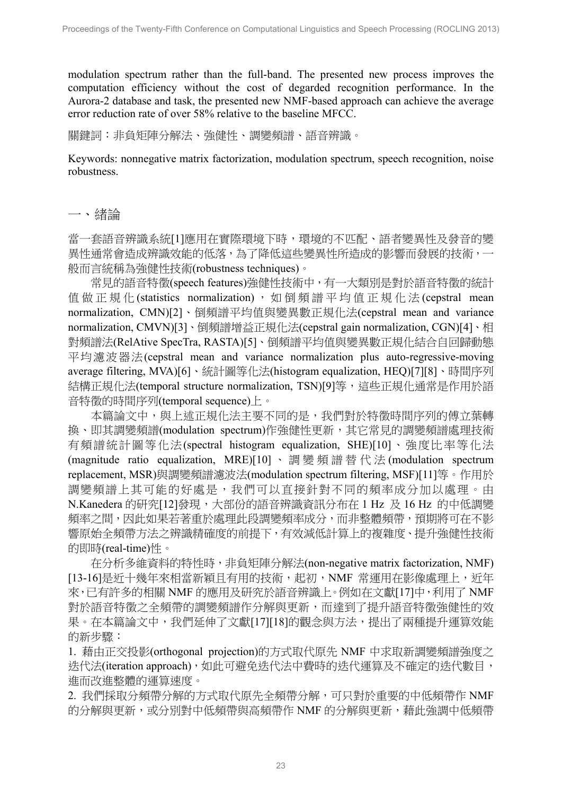modulation spectrum rather than the full-band. The presented new process improves the computation efficiency without the cost of degarded recognition performance. In the Aurora-2 database and task, the presented new NMF-based approach can achieve the average error reduction rate of over 58% relative to the baseline MFCC.

關鍵詞:非負矩陣分解法、強健性、調變頻譜、語音辨識。

Keywords: nonnegative matrix factorization, modulation spectrum, speech recognition, noise robustness.

#### 一、緒論

當一套語音辨識系統[1]應用在實際環境下時,環境的不匹配、語者變異性及發音的變 異性通常會造成辨識效能的低落,為了降低這些變異性所造成的影響而發展的技術, 般而言統稱為強健性技術(robustness techniques)。

常見的語音特徵(speech features)強健性技術中,有一大類別是對於語音特徵的統計 值做正規化(statistics normalization),如倒頻譜平均值正規化法(cepstral mean normalization, CMN)[2]、倒頻譜平均值與變異數正規化法(cepstral mean and variance normalization, CMVN)[3]、倒頻譜增益正規化法(cepstral gain normalization, CGN)[4]、相 對頻譜法(RelAtive SpecTra, RASTA)[5]、倒頻譜平均值與變異數正規化結合自回歸動態 平均濾波器法(cepstral mean and variance normalization plus auto-regressive-moving average filtering, MVA)[6]、統計圖等化法(histogram equalization, HEQ)[7][8]、時間序列 結構正規化法(temporal structure normalization, TSN)[9]等,這些正規化通常是作用於語 音特徵的時間序列(temporal sequence)上。

本篇論文中,與上述正規化法主要不同的是,我們對於特徵時間序列的傅立葉轉 換、即其調變頻譜(modulation spectrum)作強健性更新,其它常見的調變頻譜處理技術 有頻譜統計圖等化法(spectral histogram equalization, SHE)[10]、強度比率等化法 (magnitude ratio equalization, MRE)[10] 、調變頻譜替代法 (modulation spectrum replacement, MSR)與調變頻譜濾波法(modulation spectrum filtering, MSF)[11]等。作用於 調變頻譜上其可能的好處是,我們可以直接針對不同的頻率成分加以處理。由 N.Kanedera 的研究[12]發現,大部份的語音辨識資訊分布在 1 Hz 及 16 Hz 的中低調變 頻率之間,因此如果若著重於處理此段調變頻率成分,而非整體頻帶,預期將可在不影 響原始全頻帶方法之辨識精確度的前提下,有效減低計算上的複雜度、提升強健性技術 的即時(real-time)性。

在分析多維資料的特性時,非負矩陣分解法(non-negative matrix factorization, NMF) [13-16]是近十幾年來相當新穎且有用的技術,起初,NMF 常運用在影像處理上,近年 來,已有許多的相關 NMF 的應用及研究於語音辨識上。例如在文獻[17]中,利用了 NMF 對於語音特徵之全頻帶的調變頻譜作分解與更新,而達到了提升語音特徵強健性的效 果。在本篇論文中,我們延伸了文獻[17][18]的觀念與方法,提出了兩種提升運算效能 的新步驟:

1. 藉由正交投影(orthogonal projection)的方式取代原先 NMF 中求取新調變頻譜強度之 迭代法(iteration approach),如此可避免迭代法中費時的迭代運算及不確定的迭代數目, 進而改進整體的運算速度。

2. 我們採取分頻帶分解的方式取代原先全頻帶分解,可只對於重要的中低頻帶作 NMF 的分解與更新,或分別對中低頻帶與高頻帶作 NMF 的分解與更新,藉此強調中低頻帶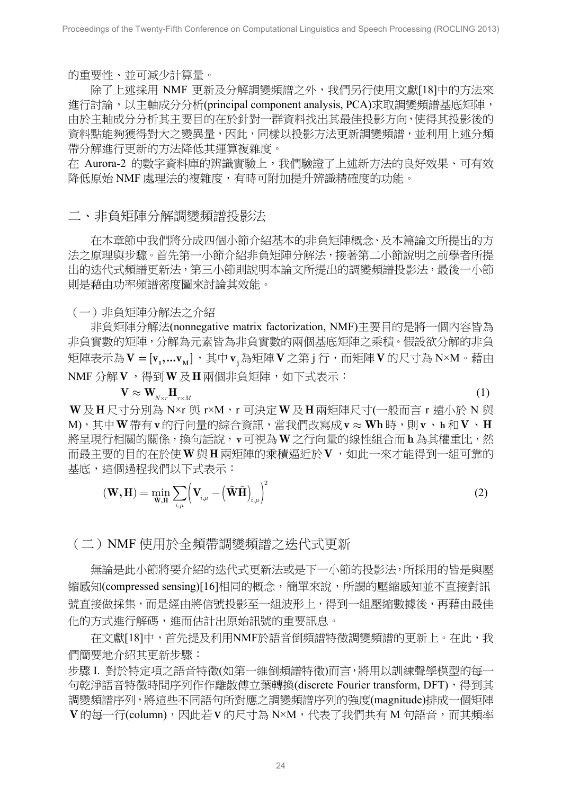的重要性、並可減少計算量。

除了上述採用 NMF 更新及分解調變頻譜之外,我們另行使用文獻[18]中的方法來 進行討論,以主軸成分分析(principal component analysis, PCA)求取調變頻譜基底矩陣, 由於主軸成分分析其主要目的在於針對一群資料找出其最佳投影方向,使得其投影後的 資料點能夠獲得對大之變異量,因此,同樣以投影方法更新調變頻譜,並利用上述分頻 帶分解進行更新的方法降低其運算複雜度。

在 Aurora-2 的數字資料庫的辨識實驗上,我們驗證了上述新方法的良好效果、可有效 降低原始 NMF 處理法的複雜度,有時可附加提升辨識精確度的功能。

二、非負矩陣分解調變頻譜投影法

 在本章節中我們將分成四個小節介紹基本的非負矩陣概念、及本篇論文所提出的方 法之原理與步驟。首先第一小節介紹非負矩陣分解法,接著第二小節說明之前學者所提 出的迭代式頻譜更新法,第三小節則說明本論文所提出的調變頻譜投影法,最後一小節 則是藉由功率頻譜密度圖來討論其效能。

(一)非負矩陣分解法之介紹

非負矩陣分解法(nonnegative matrix factorization, NMF)主要目的是將一個內容皆為 非負實數的矩陣,分解為元素皆為非負實數的兩個基底矩陣之乘積。假設欲分解的非負 矩陣表示為**V = [v ,...v ] 1 M** ,其中 **<sup>j</sup> v** 為矩陣**V** 之第 j 行,而矩陣**V** 的尺寸為 N×M。藉由 NMF 分解**V** ,得到**W**及**H**兩個非負矩陣,如下式表示:

 $\mathbf{V} \approx \mathbf{W}_{\mathbf{W}\sim\mathbf{H}_{\mathbf{w}\sim\mathbf{M}}}$  (1)

**W**及**H**尺寸分別為 N×r 與 r×M,r 可決定**W**及**H**兩矩陣尺寸(一般而言 r 遠小於 N 與 M),其中**W**帶有**v**的行向量的綜合資訊,當我們改寫成**v Wh** » 時,則**v**、**h** 和**V**、**H** 將呈現行相關的關係,換句話說,**v**可視為**W**之行向量的線性組合而**h** 為其權重比,然 而最主要的目的在於使**W**與**H** 兩矩陣的乘積逼近於**V** ,如此一來才能得到一組可靠的 基底,這個過程我們以下式表示:

$$
(\mathbf{W}, \mathbf{H}) = \min_{\tilde{\mathbf{W}}, \tilde{\mathbf{H}}} \sum_{i,\mu} \left( \mathbf{V}_{i,\mu} - \left( \tilde{\mathbf{W}} \tilde{\mathbf{H}} \right)_{i,\mu} \right)^2
$$
 (2)

(二)NMF 使用於全頻帶調變頻譜之迭代式更新

無論是此小節將要介紹的迭代式更新法或是下一小節的投影法,所採用的皆是與壓 縮感知(compressed sensing)[16]相同的概念,簡單來說,所謂的壓縮感知並不直接對訊 號直接做採集,而是經由將信號投影至一組波形上,得到一組壓縮數據後,再藉由最佳 化的方式進行解碼,進而估計出原始訊號的重要訊息。

在文獻[18]中,首先提及利用NMF於語音倒頻譜特徵調變頻譜的更新上。在此,我 們簡要地介紹其更新步驟:

步驟 I. 對於特定項之語音特徵(如第一維倒頻譜特徵)而言,將用以訓練聲學模型的每一 句乾淨語音特徵時間序列作作離散傅立葉轉換(discrete Fourier transform, DFT), 得到其 調變頻譜序列,將這些不同語句所對應之調變頻譜序列的強度(magnitude)排成一個矩陣 **V** 的每一行(column),因此若**V** 的尺寸為 N×M,代表了我們共有 M 句語音,而其頻率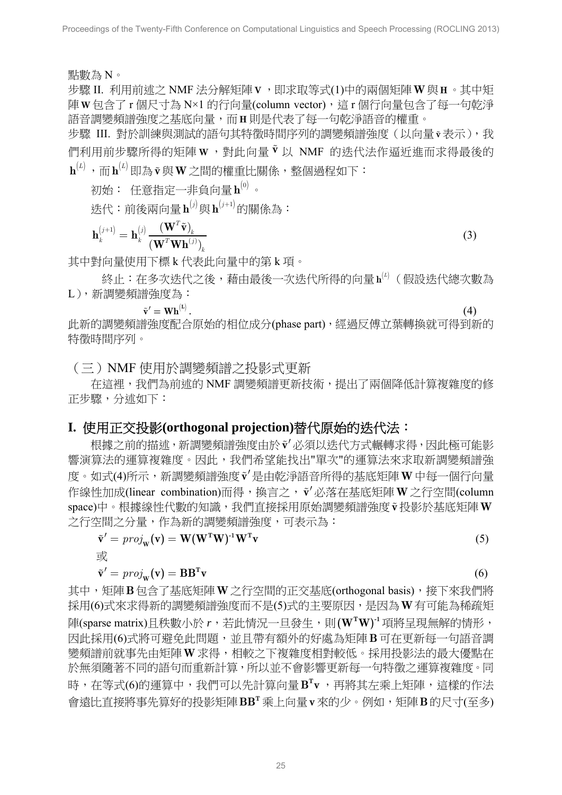點數為 N。

步驟 II. 利用前述之 NMF 法分解矩陣**V** ,即求取等式(1)中的兩個矩陣**W**與**H**。其中矩 陣 **W** 包含了 r 個尺寸為 N×1 的行向量(column vector),這 r 個行向量包含了每一句乾淨 語音調變頻譜強度之基底向量,而**H** 則是代表了每一句乾淨語音的權重。

步驟 III. 對於訓練與測試的語句其特徵時間序列的調變頻譜強度(以向量**v** 表示),我 們利用前步驟所得的矩陣 **<sup>W</sup>** ,對此向量 **v** 以 NMF 的迭代法作逼近進而求得最後的  $\mathbf{h}^{(L)}$ , 而 $\mathbf{h}^{(L)}$ 即為 $\tilde{\mathbf{v}}$ 與 $\mathbf{W}$ 之間的權重比關係,整個過程如下:

 $\eta$ 始: 任意指定一非負向量 $\mathbf{h}^{(0)}$ 。

迭代:前後兩向量 (*j*) **h** 與 (*j*+1) **h** 的關係為:

$$
\mathbf{h}_{k}^{(j+1)} = \mathbf{h}_{k}^{(j)} \frac{(\mathbf{W}^{T} \tilde{\mathbf{v}})_{k}}{(\mathbf{W}^{T} \mathbf{W} \mathbf{h}^{(j)})_{k}}
$$
(3)

其中對向量使用下標 k 代表此向量中的第 k 項。

終止:在多次迭代之後,藉由最後一次迭代所得的向量h<sup>(l)</sup>(假設迭代總次數為 L),新調變頻譜強度為:

$$
\tilde{\mathbf{v}}' = \mathbf{W} \mathbf{h}^{(\text{L})}. \tag{4}
$$

此新的調變頻譜強度配合原始的相位成分(phase part), 經過反傅立葉轉換就可得到新的 特徵時間序列。

(三)NMF 使用於調變頻譜之投影式更新

在這裡,我們為前述的 NMF 調變頻譜更新技術,提出了兩個降低計算複雜度的修 正步驟,分述如下:

# **I.** 使用正交投影**(orthogonal projection)**替代原始的迭代法:

根據之前的描述,新調變頻譜強度由於 $\mathbf{\tilde{v}}'$ 必須以迭代方式輾轉求得,因此極可能影 響演算法的運算複雜度。因此,我們希望能找出"單次"的運算法來求取新調變頻譜強 度。如式(4)所示,新調變頻譜強度 $\tilde{v}'$ 是由乾淨語音所得的基底矩陣 W中每一個行向量 作線性加成(linear combination)而得,換言之,**v**¢必落在基底矩陣**W** 之行空間(column space)中。根據線性代數的知識,我們直接採用原始調變頻譜強度**v** 投影於基底矩陣**W** 之行空間之分量,作為新的調變頻譜強度,可表示為:

$$
\tilde{\mathbf{v}}' = \text{proj}_{\mathbf{w}}(\mathbf{v}) = \mathbf{W}(\mathbf{W}^{\mathrm{T}}\mathbf{W})^{\mathrm{T}}\mathbf{W}^{\mathrm{T}}\mathbf{v}
$$
\n(5)

或

$$
\tilde{\mathbf{v}}' = \text{proj}_{\mathbf{w}}(\mathbf{v}) = \mathbf{B}\mathbf{B}^{\mathrm{T}}\mathbf{v}
$$
\n(6)

其中,矩陣B包含了基底矩陣W之行空間的正交基底(orthogonal basis),接下來我們將 採用(6)式來求得新的調變頻譜強度而不是(5)式的主要原因,是因為**W**有可能為稀疏矩 陣(sparse matrix)日秩數小於 r,若此情況一日發生,則 **(WTW)** 項將呈現無解的情形, 因此採用(6)式將可避免此問題,並且帶有額外的好處為矩陣**B**可在更新每一句語音調 變頻譜前就事先由矩陣**W**求得,相較之下複雜度相對較低。採用投影法的最大優點在 於無須隨著不同的語句而重新計算,所以並不會影響更新每一句特徵之運算複雜度。同 時,在等式(6)的運算中,我們可以先計算向量 B<sup>T</sup>v,再將其左乘上矩陣,這樣的作法 會遠比直接將事先算好的投影矩陣 **<sup>T</sup> BB** 乘上向量**v**來的少。例如,矩陣**B**的尺寸(至多)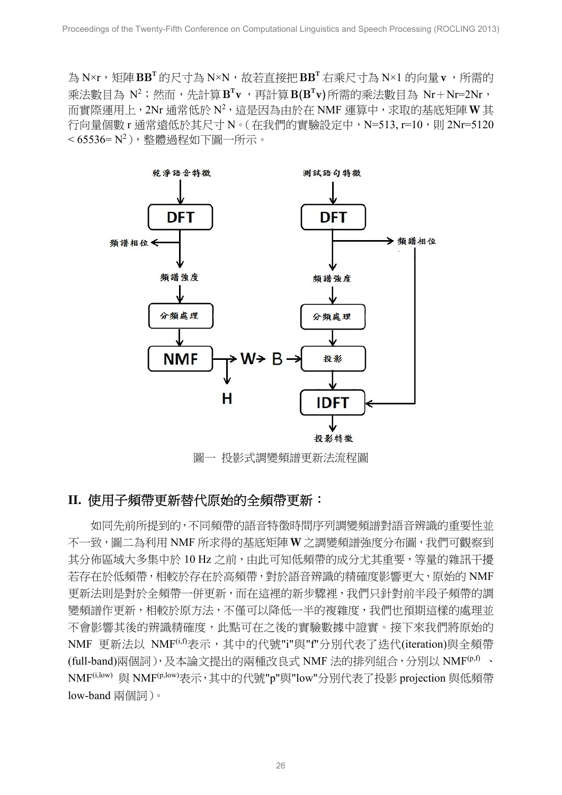為 N×r,矩陣 **<sup>T</sup> BB** 的尺寸為 N×N,故若直接把 **<sup>T</sup> BB** 右乘尺寸為 N×1 的向量**v**,所需的 乘法數目為 N2 ;然而,先計算 **<sup>T</sup> B v** ,再計算 **<sup>T</sup> B(B v)**所需的乘法數目為 Nr+Nr=2Nr, 而實際運用上,2Nr 通常低於 N2 ,這是因為由於在 NMF 運算中,求取的基底矩陣**W**其 行向量個數 r 通常遠低於其尺寸 N。( 在我們的實驗設定中,N=513, r=10,則 2Nr=5120 < 65536= N2 ),整體過程如下圖一所示。



圖一 投影式調變頻譜更新法流程圖

# **II.** 使用子頻帶更新替代原始的全頻帶更新:

如同先前所提到的,不同頻帶的語音特徵時間序列調變頻譜對語音辨識的重要性並 不一致,圖二為利用 NMF 所求得的基底矩陣**W**之調變頻譜強度分布圖,我們可觀察到 其分佈區域大多集中於 10 Hz 之前, 由此可知低頻帶的成分尤其重要, 等量的雜訊干擾 若存在於低頻帶,相較於存在於高頻帶,對於語音辨識的精確度影響更大,原始的 NMF 更新法則是對於全頻帶一併更新,而在這裡的新步驟裡,我們只針對前半段子頻帶的調 變頻譜作更新,相較於原方法,不僅可以降低一半的複雜度,我們也預期這樣的處理並 不會影響其後的辨識精確度,此點可在之後的實驗數據中證實。接下來我們將原始的 NMF 更新法以 NMF(i,f)表示,其中的代號"i"與"f"分別代表了迭代(iteration)與全頻帶 (full-band)兩個詞),及本論文提出的兩種改良式 NMF 法的排列組合,分別以 NMF(p,f) 、 NMF(i,low) 與 NMF(p,low)表示,其中的代號"p"與"low"分別代表了投影 projection 與低頻帶 low-band 兩個詞)。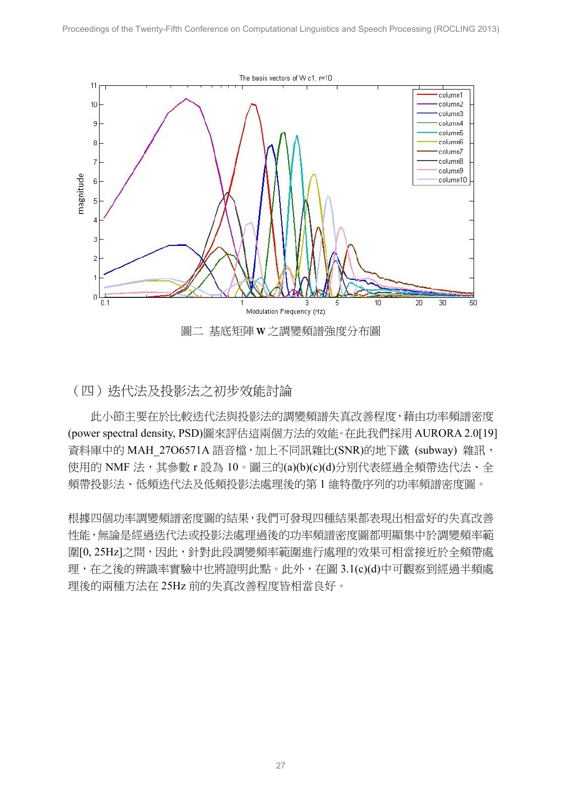

#### (四)迭代法及投影法之初步效能討論

 此小節主要在於比較迭代法與投影法的調變頻譜失真改善程度,藉由功率頻譜密度 (power spectral density, PSD)圖來評估這兩個方法的效能。在此我們採用 AURORA 2.0[19] 資料庫中的 MAH 27O6571A 語音檔,加上不同訊雜比(SNR)的地下鐵 (subway) 雜訊, 使用的 NMF 法,其參數 r 設為 10。圖三的(a)(b)(c)(d)分別代表經過全頻帶迭代法、全 頻帶投影法、低頻迭代法及低頻投影法處理後的第 1 維特徵序列的功率頻譜密度圖。

根據四個功率調變頻譜密度圖的結果,我們可發現四種結果都表現出相當好的失真改善 性能,無論是經過迭代法或投影法處理過後的功率頻譜密度圖都明顯集中於調變頻率範 圍[0, 25Hz]之間,因此,針對此段調變頻率範圍進行處理的效果可相當接近於全頻帶處 理,在之後的辨識率實驗中也將證明此點。此外,在圖 3.1(c)(d)中可觀察到經過半頻處 理後的兩種方法在 25Hz 前的失真改善程度皆相當良好。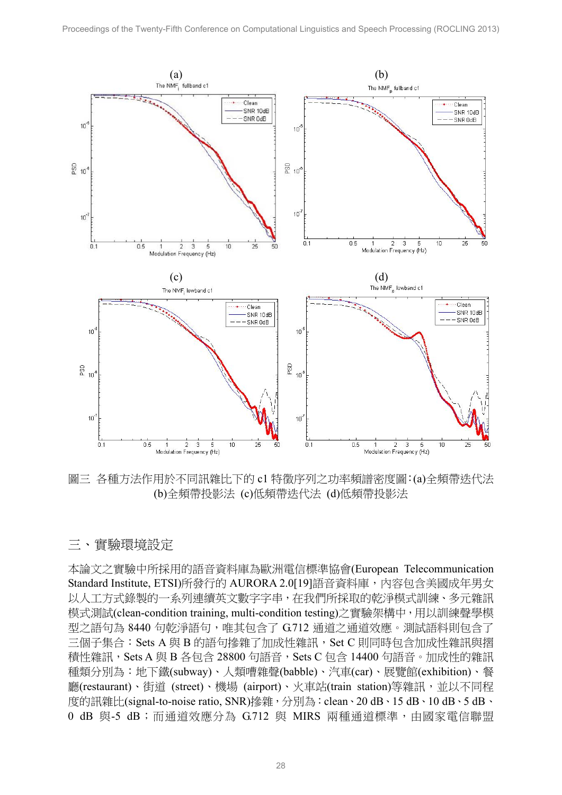

圖三 各種方法作用於不同訊雜比下的 c1 特徵序列之功率頻譜密度圖:(a)全頻帶迭代法 (b)全頻帶投影法 (c)低頻帶迭代法 (d)低頻帶投影法

# 三、實驗環境設定

本論文之實驗中所採用的語音資料庫為歐洲電信標準協會(European Telecommunication Standard Institute, ETSI)所發行的 AURORA 2.0[19]語音資料庫,內容包含美國成年男女 以人工方式錄製的一系列連續英文數字字串,在我們所採取的乾淨模式訓練、多元雜訊 模式測試(clean-condition training, multi-condition testing)之實驗架構中,用以訓練聲學模 型之語句為 8440 句乾淨語句,唯其包含了 G.712 通道之通道效應。測試語料則包含了 三個子集合: Sets A 與 B 的語句摻雜了加成性雜訊, Set C 則同時包含加成性雜訊與摺 積性雜訊, Sets A 與 B 各包含 28800 句語音, Sets C 包含 14400 句語音。加成性的雜訊 種類分別為:地下鐵(subway)、人類嘈雜聲(babble)、汽車(car)、展覽館(exhibition)、餐 廳(restaurant)、街道 (street)、機場 (airport)、火車站(train station)等雜訊,並以不同程 度的訊雜比(signal-to-noise ratio, SNR)摻雜,分別為: clean、20 dB、15 dB、10 dB、5 dB、 0 dB 與-5 dB;而通道效應分為 G712 與 MIRS 兩種通道標準,由國家電信聯盟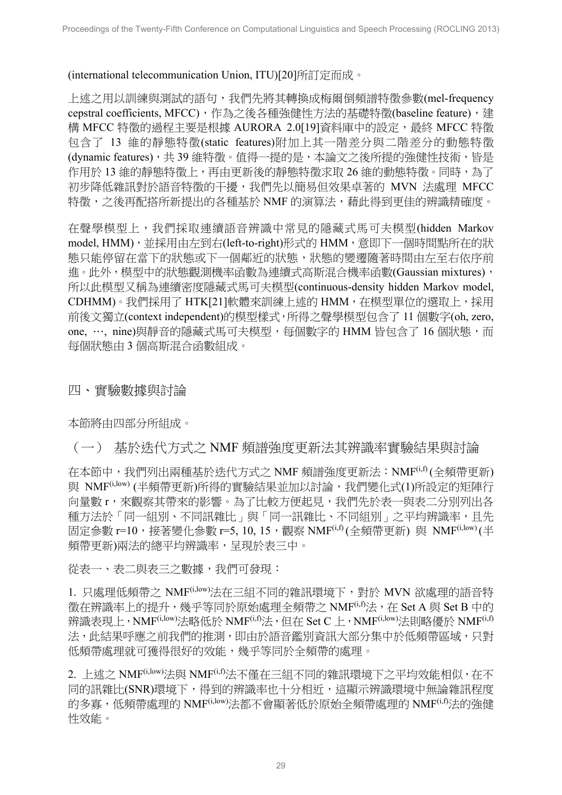#### (international telecommunication Union, ITU)[20]所訂定而成。

上述之用以訓練與測試的語句,我們先將其轉換成梅爾倒頻譜特徵參數(mel-frequency cepstral coefficients, MFCC), 作為之後各種強健性方法的基礎特徵(baseline feature), 建 構 MFCC 特徵的過程主要是根據 AURORA 2.0[19]資料庫中的設定,最終 MFCC 特徵 包含了 13 維的靜態特徵(static features)附加上其一階差分與二階差分的動態特徵 (dynamic features),共 39 維特徵。值得一提的是,本論文之後所提的強健性技術,皆是 作用於 13 維的靜態特徵上,再由更新後的靜態特徵求取 26 維的動態特徵。同時,為了 初步降低雜訊對於語音特徵的干擾,我們先以簡易但效果卓著的 MVN 法處理 MFCC 特徵,之後再配搭所新提出的各種基於 NMF 的演算法,藉此得到更佳的辨識精確度。

在聲學模型上,我們採取連續語音辨識中常見的隱藏式馬可夫模型(hidden Markov model, HMM), 並採用由左到右(left-to-right)形式的 HMM, 意即下一個時間點所在的狀 態只能停留在當下的狀態或下一個鄰近的狀態,狀態的變遷隨著時間由左至右依序前 進。此外,模型中的狀態觀測機率函數為連續式高斯混合機率函數(Gaussian mixtures), 所以此模型又稱為連續密度隱藏式馬可夫模型(continuous-density hidden Markov model, CDHMM)。我們採用了 HTK[21]軟體來訓練上述的 HMM,在模型單位的選取上,採用 前後文獨立(context independent)的模型樣式,所得之聲學模型包含了 11 個數字(oh, zero, one, …, nine)與靜音的隱藏式馬可夫模型, 每個數字的 HMM 皆包含了 16 個狀態, 而 每個狀態由 3 個高斯混合函數組成。

四、實驗數據與討論

本節將由四部分所組成。

# (一) 基於迭代方式之 NMF 頻譜強度更新法其辨識率實驗結果與討論

在本節中,我們列出兩種基於迭代方式之 NMF 頻譜強度更新法:NMF(i,f) (全頻帶更新) 與 NMF<sup>(i,low)</sup> (半頻帶更新)所得的實驗結果並加以討論,我們變化式(1)所設定的矩陣行 向量數 r,來觀察其帶來的影響。為了比較方便起見,我們先於表一與表二分別列出各 種方法於「同一組別、不同訊雜比」與「同一訊雜比、不同組別」之平均辨識率,且先 固定參數 r=10,接著變化參數 r=5, 10, 15, 觀察 NMF(i,f) (全頻帶更新) 與 NMF<sup>(i,low)</sup> (半 頻帶更新)兩法的總平均辨識率,呈現於表三中。

從表一、表二與表三之數據,我們可發現:

1. 只處理低頻帶之 NMF(i,low)法在三組不同的雜訊環境下,對於 MVN 欲處理的語音特 徵在辨識率上的提升,幾乎等同於原始處理全頻帶之 NMF<sup>(i,f)</sup>法, 在 Set A 與 Set B 中的 辨識表現上,NMF(i,low)法略低於 NMF(i,f)法, 但在 Set C 上, NMF<sup>(i,low)</sup>法則略優於 NMF<sup>(i,f)</sup> 法,此結果呼應之前我們的推測,即由於語音鑑別資訊大部分集中於低頻帶區域,只對 低頻帶處理就可獲得很好的效能,幾乎等同於全頻帶的處理。

2. 上述之 NMF(i,low)法與 NMF(i,f)法不僅在三組不同的雜訊環境下之平均效能相似,在不 同的訊雜比(SNR)環境下,得到的辨識率也十分相近,這顯示辨識環境中無論雜訊程度 的多寡,低頻帶處理的 NMF<sup>(i,low)</sup>法都不會顯著低於原始全頻帶處理的 NMF<sup>(i,f)</sup>法的強健 性效能。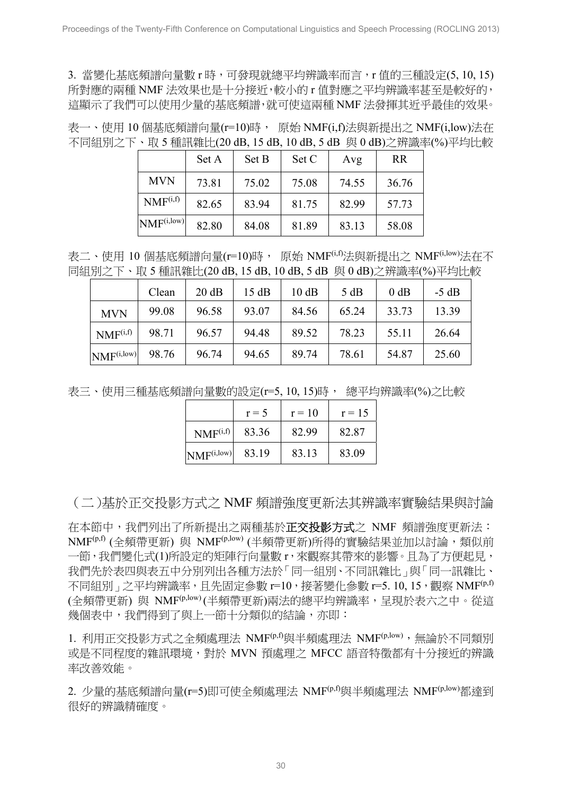3. 當變化基底頻譜向量數 r 時,可發現就總平均辨識率而言,r 值的三種設定(5, 10, 15) 所對應的兩種 NMF 法效果也是十分接近,較小的 r 值對應之平均辨識率甚至是較好的, 這顯示了我們可以使用少量的基底頻譜,就可使這兩種 NMF 法發揮其近乎最佳的效果。

表一、使用 10 個基底頻譜向量(r=10)時, 原始 NMF(i,f)法與新提出之 NMF(i,low)法在 不同組別之下、取 5 種訊雜比(20 dB, 15 dB, 10 dB, 5 dB 與 0 dB)之辨識率(%)平均比較

|                        | Set A | Set B | Set C | Avg   | <b>RR</b> |
|------------------------|-------|-------|-------|-------|-----------|
| <b>MVN</b>             | 73.81 | 75.02 | 75.08 | 74.55 | 36.76     |
| NMF <sup>(i,f)</sup>   | 82.65 | 83.94 | 81.75 | 82.99 | 57.73     |
| NMF <sup>(i,low)</sup> | 82.80 | 84.08 | 81.89 | 83.13 | 58.08     |

表二、使用 10 個基底頻譜向量(r=10)時, 原始 NMF<sup>(i,f)</sup>法與新提出之 NMF<sup>(i,low)</sup>法在不 同組別之下、取 5 種訊雜比(20 dB, 15 dB, 10 dB, 5 dB 與 0 dB)之辨識率(%)平均比較

|                        | Clean | 20 dB | 15dB  | 10 dB | 5 dB  | $0$ dB | $-5$ dB |
|------------------------|-------|-------|-------|-------|-------|--------|---------|
| <b>MVN</b>             | 99.08 | 96.58 | 93.07 | 84.56 | 65.24 | 33.73  | 13.39   |
| NMF <sup>(i,f)</sup>   | 98.71 | 96.57 | 94.48 | 89.52 | 78.23 | 55.11  | 26.64   |
| NMF <sup>(i,low)</sup> | 98.76 | 96.74 | 94.65 | 89.74 | 78.61 | 54.87  | 25.60   |

表三、使用三種基底頻譜向量數的設定(r=5, 10, 15)時, 總平均辨識率(%)之比較

|                        | $r = 5$ | $r = 10$ | $r = 15$ |
|------------------------|---------|----------|----------|
| NMF <sup>(i,f)</sup>   | 83.36   | 82.99    | 82.87    |
| NMF <sup>(i,low)</sup> | 83.19   | 83.13    | 83.09    |

(二)基於正交投影方式之 NMF 頻譜強度更新法其辨識率實驗結果與討論

在本節中,我們列出了所新提出之兩種基於**正交投影方式**之 NMF 頻譜強度更新法: NMF<sup>(p,f)</sup> (全頻帶更新) 與 NMF<sup>(p,low)</sup> (半頻帶更新)所得的實驗結果並加以討論,類似前 一節,我們變化式(1)所設定的矩陣行向量數 r,來觀察其帶來的影響。且為了方便起見, 我們先於表四與表五中分別列出各種方法於「同一組別、不同訊雜比」與「同一訊雜比、 不同組別」之平均辨識率,且先固定參數 r=10,接著變化參數 r=5. 10, 15, 觀察 NMF<sup>(p,f)</sup> (全頻帶更新) 與 NMF(p,low) (半頻帶更新)兩法的總平均辨識率,呈現於表六之中。從這 幾個表中,我們得到了與上一節十分類似的結論,亦即:

1. 利用正交投影方式之全頻處理法 NMF<sup>(p,f)</sup>與半頻處理法 NMF<sup>(p,low), 無論於不同類別</sup> 或是不同程度的雜訊環境,對於 MVN 預處理之 MFCC 語音特徵都有十分接近的辨識 率改善效能。

2. 少量的基底頻譜向量(r=5)即可使全頻處理法 NMF(p,f)與半頻處理法 NMF(p,low)都達到 很好的辨識精確度。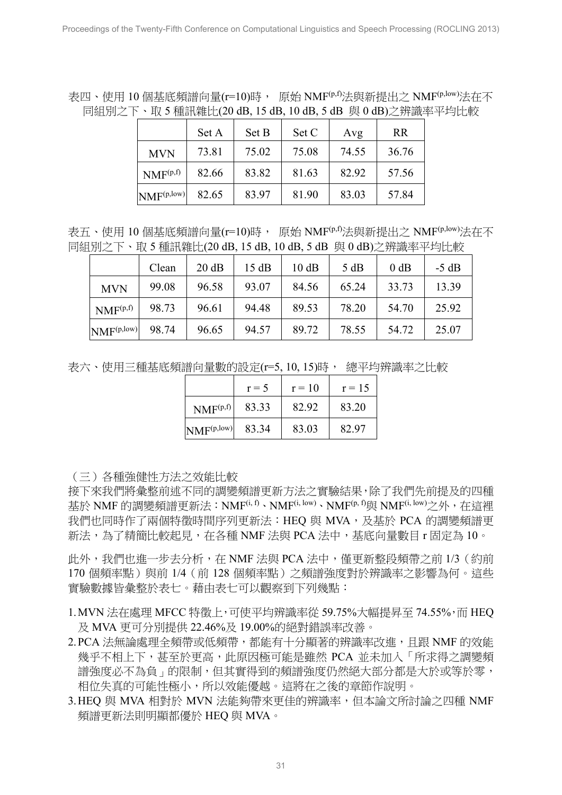表四、使用 10 個基底頻譜向量(r=10)時, 原始 NMF<sup>(p,f)</sup>法與新提出之 NMF<sup>(p,low)</sup>法在不 同組別之下、取 5 種訊雜比(20 dB, 15 dB, 10 dB, 5 dB 與 0 dB)之辨識率平均比較

|                                | Set A | Set B | Set C | Avg   | <b>RR</b> |
|--------------------------------|-------|-------|-------|-------|-----------|
| <b>MVN</b>                     | 73.81 | 75.02 | 75.08 | 74.55 | 36.76     |
| NMF <sup>(p,f)</sup>           | 82.66 | 83.82 | 81.63 | 82.92 | 57.56     |
| $\text{NMF}^{(p, \text{low})}$ | 82.65 | 83.97 | 81.90 | 83.03 | 57.84     |

表五、使用 10 個基底頻譜向量(r=10)時, 原始 NMF<sup>(p,f)</sup>法與新提出之 NMF<sup>(p,low)</sup>法在不 同組別之下、取 5 種訊雜比(20 dB, 15 dB, 10 dB, 5 dB 與 0 dB)之辨識率平均比較

|                        | Clean | 20 dB | 15 dB | 10 dB | 5 dB  | 0 dB  | $-5 dB$ |
|------------------------|-------|-------|-------|-------|-------|-------|---------|
| <b>MVN</b>             | 99.08 | 96.58 | 93.07 | 84.56 | 65.24 | 33.73 | 13.39   |
| $NMF^{(p,f)}$          | 98.73 | 96.61 | 94.48 | 89.53 | 78.20 | 54.70 | 25.92   |
| NMF <sup>(p,low)</sup> | 98.74 | 96.65 | 94.57 | 89.72 | 78.55 | 54.72 | 25.07   |

表六、使用三種基底頻譜向量數的設定(r=5, 10, 15)時, 總平均辨識率之比較

|                        | $r = 5$ | $r = 10$ | $r = 15$ |
|------------------------|---------|----------|----------|
| NMF <sup>(p,f)</sup>   | 83.33   | 8292     | 83.20    |
| NMF <sup>(p,low)</sup> | 83.34   | 83.03    | 82.97    |

(三)各種強健性方法之效能比較

接下來我們將彙整前述不同的調變頻譜更新方法之實驗結果,除了我們先前提及的四種 基於 NMF 的調變頻譜更新法: NMF<sup>(i, f)</sup>、NMF<sup>(i, low)</sup>、NMF<sup>(p, f)</sup>與 NMF<sup>(i, low)</sup>之外,在這裡 我們也同時作了兩個特徵時間序列更新法: HEQ 與 MVA, 及基於 PCA 的調變頻譜更 新法,為了精簡比較起見,在各種 NMF 法與 PCA 法中, 基底向量數目 r 固定為 10。

此外,我們也進一步夫分析, 在 NMF 法與 PCA 法中, 僅更新整段頻帶之前 1/3 (約前 170個頻率點)與前 1/4 (前 128 個頻率點)之頻譜強度對於辨識率之影響為何。這些 實驗數據皆彙整於表七。藉由表七可以觀察到下列幾點:

- 1. MVN 法在處理 MFCC 特徵上,可使平均辩識率從 59.75%大幅提昇至 74.55%,而 HEO 及 MVA 更可分別提供 22.46%及 19.00%的絕對錯誤率改善。
- 2.PCA 法無論處理全頻帶或低頻帶,都能有十分顯著的辨識率改進,且跟 NMF 的效能 幾乎不相上下,甚至於更高,此原因極可能是雖然 PCA 並未加入「所求得之調變頻 譜強度必不為負」的限制,但其實得到的頻譜強度仍然絕大部分都是大於或等於零, 相位失真的可能性極小,所以效能優越。這將在之後的章節作說明。
- 3.HEQ 與 MVA 相對於 MVN 法能夠帶來更佳的辨識率,但本論文所討論之四種 NMF 頻譜更新法則明顯都優於 HEQ 與 MVA。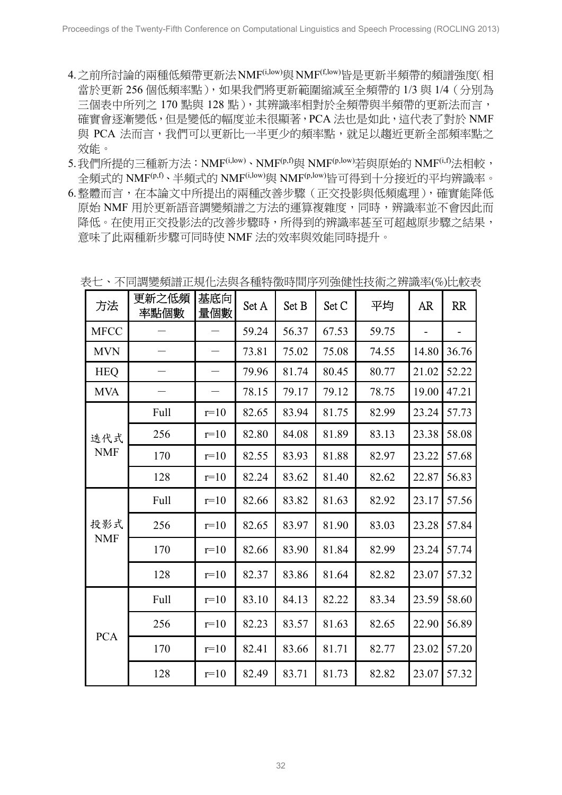- 4. 之前所討論的兩種低頻帶更新法NMF<sup>(i,low)</sup>與NMF<sup>(f,low)</sup>皆是更新半頻帶的頻譜強度(相 當於更新 256 個低頻率點),如果我們將更新範圍縮減至全頻帶的 1/3 與 1/4(分別為 三個表中所列之 170 點與 128 點), 其辨識率相對於全頻帶與半頻帶的更新法而言, 確實會逐漸變低,但是變低的幅度並未很顯著,PCA 法也是如此,這代表了對於 NMF 與 PCA 法而言,我們可以更新比一半更少的頻率點,就足以趨近更新全部頻率點之 效能。
- 5.我們所提的三種新方法:NMF(i,low)、NMF(p,f)與 NMF(p,low)若與原始的 NMF(i,f)法相較, 全頻式的 NMF(p,f)、半頻式的 NMF(i,low)與 NMF(p,low)皆可得到十分接近的平均辨識率。
- 6.整體而言,在本論文中所提出的兩種改善步驟(正交投影與低頻處理),確實能降低 原始 NMF 用於更新語音調變頻譜之方法的運算複雜度,同時,辨識率並不會因此而 降低。在使用正交投影法的改善步驟時,所得到的辨識率甚至可超越原步驟之結果, 意味了此兩種新步驟可同時使 NMF 法的效率與效能同時提升。

| 方法                | 更新之低頻<br>率點個數 | 基底向<br>量個數 | Set A | Set B | Set C | 平均    | AR.   | <b>RR</b> |
|-------------------|---------------|------------|-------|-------|-------|-------|-------|-----------|
| <b>MFCC</b>       |               |            | 59.24 | 56.37 | 67.53 | 59.75 |       |           |
| <b>MVN</b>        |               |            | 73.81 | 75.02 | 75.08 | 74.55 | 14.80 | 36.76     |
| <b>HEQ</b>        |               |            | 79.96 | 81.74 | 80.45 | 80.77 | 21.02 | 52.22     |
| <b>MVA</b>        |               |            | 78.15 | 79.17 | 79.12 | 78.75 | 19.00 | 47.21     |
|                   | Full          | $r=10$     | 82.65 | 83.94 | 81.75 | 82.99 | 23.24 | 57.73     |
| 迭代式               | 256           | $r=10$     | 82.80 | 84.08 | 81.89 | 83.13 | 23.38 | 58.08     |
| <b>NMF</b>        | 170           | $r=10$     | 82.55 | 83.93 | 81.88 | 82.97 | 23.22 | 57.68     |
|                   | 128           | $r=10$     | 82.24 | 83.62 | 81.40 | 82.62 | 22.87 | 56.83     |
|                   | <b>Full</b>   | $r=10$     | 82.66 | 83.82 | 81.63 | 82.92 | 23.17 | 57.56     |
| 投影式<br><b>NMF</b> | 256           | $r=10$     | 82.65 | 83.97 | 81.90 | 83.03 | 23.28 | 57.84     |
|                   | 170           | $r=10$     | 82.66 | 83.90 | 81.84 | 82.99 | 23.24 | 57.74     |
|                   | 128           | $r=10$     | 82.37 | 83.86 | 81.64 | 82.82 | 23.07 | 57.32     |
|                   | Full          | $r=10$     | 83.10 | 84.13 | 82.22 | 83.34 | 23.59 | 58.60     |
| <b>PCA</b>        | 256           | $r=10$     | 82.23 | 83.57 | 81.63 | 82.65 | 22.90 | 56.89     |
|                   | 170           | $r=10$     | 82.41 | 83.66 | 81.71 | 82.77 | 23.02 | 57.20     |
|                   | 128           | $r=10$     | 82.49 | 83.71 | 81.73 | 82.82 | 23.07 | 57.32     |

表七、不同調變頻譜正規化法與各種特徵時間序列強健性技術之辨識率(%)比較表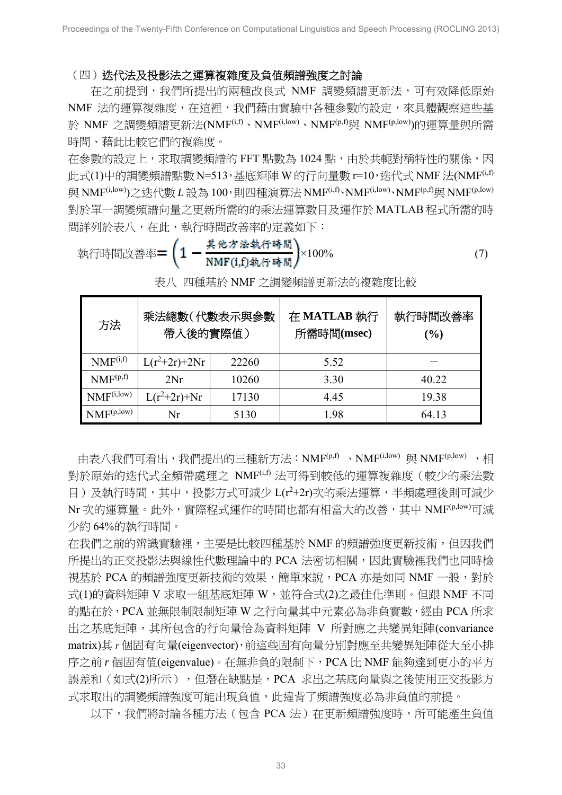(四)迭代法及投影法之運算複雜度及負值頻譜強度之討論

在之前提到,我們所提出的兩種改良式 NMF 調變頻譜更新法,可有效降低原始 NMF 法的運算複雜度,在這裡,我們藉由實驗中各種參數的設定,來具體觀察這些基 於 NMF 之調變頻譜更新法(NMF<sup>(i,f)</sup>、NMF<sup>(i,low)</sup>、NMF<sup>(p,f)</sup>與 NMF<sup>(p,low</sup>))的運算量與所需 時間、藉此比較它們的複雜度。

在參數的設定上,求取調變頻譜的 FFT 點數為 1024 點,由於共軛對稱特性的關係,因 此式 $(1)$ 中的調變頻譜點數 N=513,基底矩陣 W 的行向量數 r=10,迭代式 NMF 法 $(NMF<sup>(i,f)</sup>)$ 與 NMF<sup>(i,low)</sup>)之迭代數 *L* 設為 100,則四種演算法 NMF<sup>(i,f)</sup>、NMF<sup>(i,low)</sup>、NMF<sup>(p,f)</sup>與 NMF<sup>(p,low)</sup> 對於單一調變頻譜向量之更新所需的的乘法運算數目及運作於 MATLAB 程式所需的時 間詳列於表八,在此,執行時間改善率的定義如下:

\n
$$
\text{執行時間改善率 = \n \left( 1 - \frac{\n \text{其他 }\n \text{法िbig}}{\text{NMF(i,f)}\n \text{4k行時間}} \n \right)\n \times 100\%
$$
\n

| 方法                     | 乘法總數(代數表示與參數<br>帶入後的實際值) |       | 在 MATLAB 執行<br>所需時間(msec) | 執行時間改善率<br>(%) |
|------------------------|--------------------------|-------|---------------------------|----------------|
| NMF <sup>(i,f)</sup>   | $L(r^2+2r)+2Nr$          | 22260 | 5.52                      |                |
| NMF <sup>(p,f)</sup>   | 2Nr                      | 10260 | 3.30                      | 40.22          |
| NMF <sup>(i,low)</sup> | $L(r^2+2r)+Nr$           | 17130 | 4.45                      | 19.38          |
| NMF <sub>(p,low)</sub> | Nr                       | 5130  | 1.98                      | 64.13          |

表八 四種基於 NMF 之調變頻譜更新法的複雜度比較

由表八我們可看出,我們提出的三種新方法:NMF(p,f) 、NMF(i,low) 與 NMF(p,low) ,相 對於原始的迭代式全頻帶處理之 NMF(i,f) 法可得到較低的運算複雜度(較少的乘法數 目)及執行時間,其中,投影方式可減少 L(r<sup>2+2</sup>r)次的乘法運算,半頻處理後則可減少 Nr 次的運算量。此外,實際程式運作的時間也都有相當大的改善,其中 NMF<sup>(p,low)</sup>可減 少約 64%的執行時間。

在我們之前的辨識實驗裡,主要是比較四種基於 NMF 的頻譜強度更新技術,但因我們 所提出的正交投影法與線性代數理論中的 PCA 法密切相關,因此實驗裡我們也同時檢 視基於 PCA 的頻譜強度更新技術的效果,簡單來說, PCA 亦是如同 NMF 一般,對於 式(1)的資料矩陣 V 求取一組基底矩陣 W,並符合式(2)之最佳化準則。但跟 NMF 不同 的點在於,PCA 並無限制限制矩陣 W 之行向量其中元素必為非負實數,經由 PCA 所求 出之基底矩陣,其所包含的行向量恰為資料矩陣 V 所對應之共變異矩陣(convariance matrix)其 *r* 個固有向量(eigenvector),前這些固有向量分別對應至共變異矩陣從大至小排 序之前 *r* 個固有值(eigenvalue)。在無非負的限制下,PCA 比 NMF 能夠達到更小的平方 誤差和 (如式(2)所示), 但潛在缺點是, PCA 求出之基底向量與之後使用正交投影方 式求取出的調變頻譜強度可能出現負值,此違背了頻譜強度必為非負值的前提。

以下,我們將討論各種方法(包含 PCA 法)在更新頻譜強度時,所可能產生負值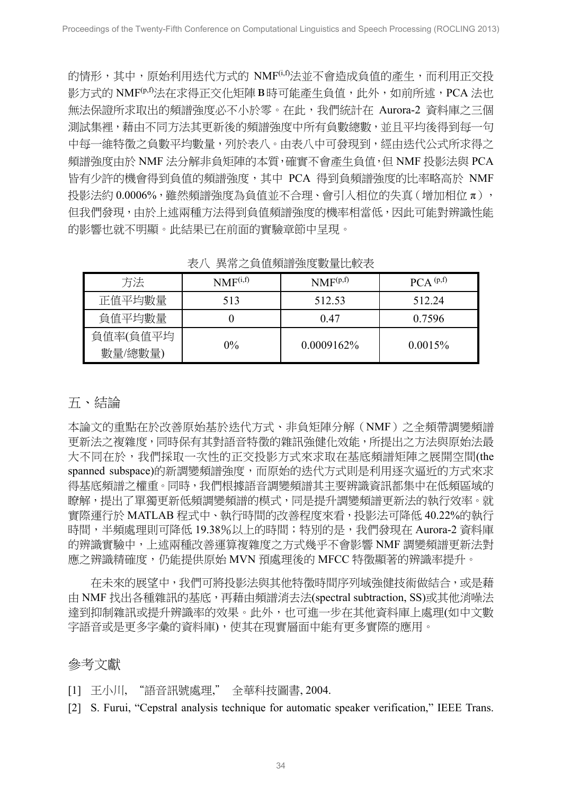的情形,其中,原始利用迭代方式的 NMF<sup>(i,f)</sup>法並不會造成負值的產生,而利用正交投 影方式的 NMF<sup>(p,f)</sup>法在求得正交化矩陣 B時可能產生負值,此外,如前所述,PCA 法也 無法保證所求取出的頻譜強度必不小於零。在此,我們統計在 Aurora-2 資料庫之三個 測試集裡,藉由不同方法其更新後的頻譜強度中所有負數總數,並且平均後得到每一句 中每一維特徵之負數平均數量,列於表八。由表八中可發現到,經由迭代公式所求得之 頻譜強度由於 NMF 法分解非負矩陣的本質,確實不會產生負值,但 NMF 投影法與 PCA 皆有少許的機會得到負值的頻譜強度,其中 PCA 得到負頻譜強度的比率略高於 NMF 投影法約 0.0006%, 雖然頻譜強度為負值並不合理、會引入相位的失真(增加相位π), 但我們發現,由於上述兩種方法得到負值頻譜強度的機率相當低,因此可能對辨識性能 的影響也就不明顯。此結果已在前面的實驗章節中呈現。

| 方法       | NMF <sup>(i,f)</sup> | NMF(p,f)   | PCA <sup>(p,f)</sup> |
|----------|----------------------|------------|----------------------|
| 正值平均數量   | 513                  | 512.53     | 512 24               |
| 負值平均數量   |                      | 047        | 0.7596               |
| 負值率(負值平均 |                      |            |                      |
| 數量/總數量)  | $0\%$                | 0.0009162% | 0.0015%              |

表八 異常之負值頻譜強度數量比較表

### 五、結論

本論文的重點在於改善原始基於迭代方式、非負矩陣分解(NMF)之全頻帶調變頻譜 更新法之複雜度,同時保有其對語音特徵的雜訊強健化效能,所提出之方法與原始法最 大不同在於,我們採取一次性的正交投影方式來求取在基底頻譜矩陣之展開空間(the spanned subspace)的新調變頻譜強度,而原始的迭代方式則是利用逐次逼近的方式來求 得基底頻譜之權重。同時,我們根據語音調變頻譜其主要辨識資訊都集中在低頻區域的 瞭解,提出了單獨更新低頻調變頻譜的模式,同是提升調變頻譜更新法的執行效率。就 實際運行於 MATLAB 程式中、執行時間的改善程度來看,投影法可降低 40.22%的執行 時間,半頻處理則可降低 19.38%以上的時間;特別的是,我們發現在 Aurora-2 資料庫 的辨識實驗中,上述兩種改善運算複雜度之方式幾乎不會影響 NMF 調變頻譜更新法對 應之辨識精確度,仍能提供原始 MVN 預處理後的 MFCC 特徵顯著的辨識率提升。

 在未來的展望中,我們可將投影法與其他特徵時間序列域強健技術做結合,或是藉 由 NMF 找出各種雜訊的基底,再藉由頻譜消去法(spectral subtraction, SS)或其他消噪法 達到抑制雜訊或提升辨識率的效果。此外,也可進一步在其他資料庫上處理(如中文數 字語音或是更多字彙的資料庫),使其在現實層面中能有更多實際的應用。

# 參考文獻

[1] 王小川, "語音訊號處理," 全華科技圖書, 2004.

[2] S. Furui, "Cepstral analysis technique for automatic speaker verification," IEEE Trans.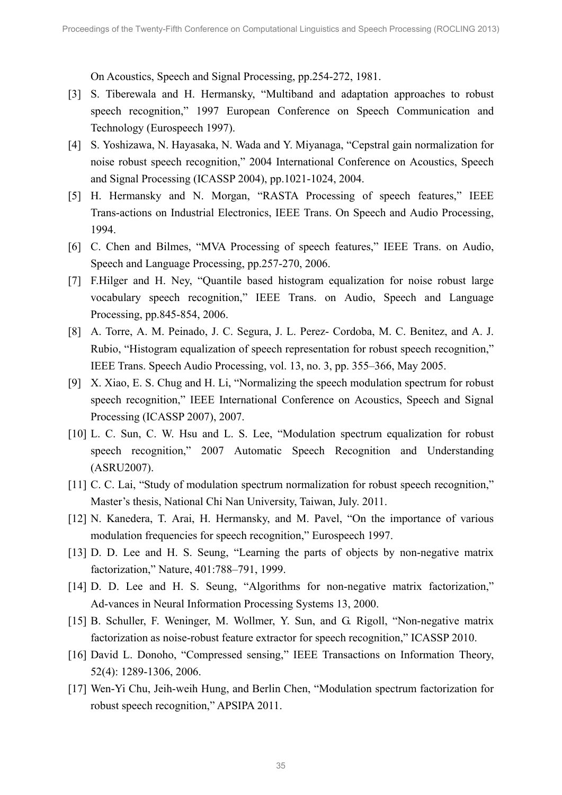On Acoustics, Speech and Signal Processing, pp.254-272, 1981.

- [3] S. Tiberewala and H. Hermansky, "Multiband and adaptation approaches to robust speech recognition," 1997 European Conference on Speech Communication and Technology (Eurospeech 1997).
- [4] S. Yoshizawa, N. Hayasaka, N. Wada and Y. Miyanaga, "Cepstral gain normalization for noise robust speech recognition," 2004 International Conference on Acoustics, Speech and Signal Processing (ICASSP 2004), pp.1021-1024, 2004.
- [5] H. Hermansky and N. Morgan, "RASTA Processing of speech features," IEEE Trans-actions on Industrial Electronics, IEEE Trans. On Speech and Audio Processing, 1994.
- [6] C. Chen and Bilmes, "MVA Processing of speech features," IEEE Trans. on Audio, Speech and Language Processing, pp.257-270, 2006.
- [7] F.Hilger and H. Ney, "Quantile based histogram equalization for noise robust large vocabulary speech recognition," IEEE Trans. on Audio, Speech and Language Processing, pp.845-854, 2006.
- [8] A. Torre, A. M. Peinado, J. C. Segura, J. L. Perez- Cordoba, M. C. Benitez, and A. J. Rubio, "Histogram equalization of speech representation for robust speech recognition," IEEE Trans. Speech Audio Processing, vol. 13, no. 3, pp. 355–366, May 2005.
- [9] X. Xiao, E. S. Chug and H. Li, "Normalizing the speech modulation spectrum for robust speech recognition," IEEE International Conference on Acoustics, Speech and Signal Processing (ICASSP 2007), 2007.
- [10] L. C. Sun, C. W. Hsu and L. S. Lee, "Modulation spectrum equalization for robust speech recognition," 2007 Automatic Speech Recognition and Understanding (ASRU2007).
- [11] C. C. Lai, "Study of modulation spectrum normalization for robust speech recognition," Master's thesis, National Chi Nan University, Taiwan, July. 2011.
- [12] N. Kanedera, T. Arai, H. Hermansky, and M. Pavel, "On the importance of various modulation frequencies for speech recognition," Eurospeech 1997.
- [13] D. D. Lee and H. S. Seung, "Learning the parts of objects by non-negative matrix factorization," Nature, 401:788–791, 1999.
- [14] D. D. Lee and H. S. Seung, "Algorithms for non-negative matrix factorization," Ad-vances in Neural Information Processing Systems 13, 2000.
- [15] B. Schuller, F. Weninger, M. Wollmer, Y. Sun, and G. Rigoll, "Non-negative matrix factorization as noise-robust feature extractor for speech recognition," ICASSP 2010.
- [16] David L. Donoho, "Compressed sensing," IEEE Transactions on Information Theory, 52(4): 1289-1306, 2006.
- [17] Wen-Yi Chu, Jeih-weih Hung, and Berlin Chen, "Modulation spectrum factorization for robust speech recognition," APSIPA 2011.